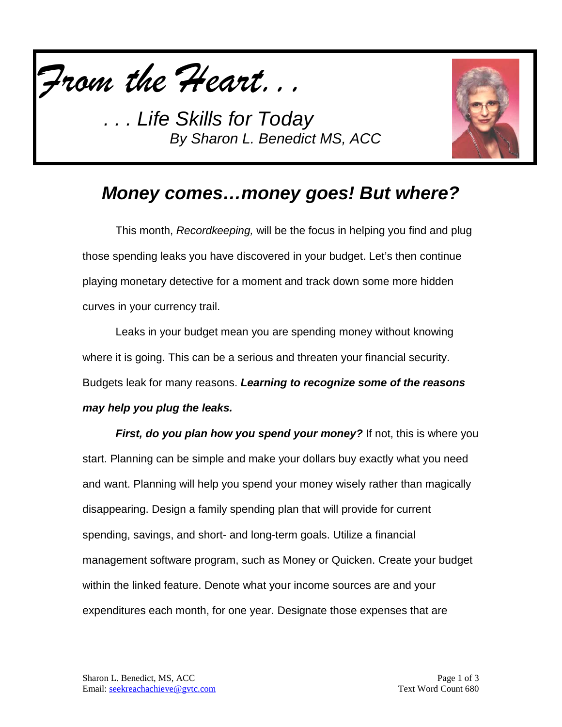

**Life Skills for Today** *By Sharon L. Benedict MS, ACC*



## *Money comes…money goes! But where?*

This month, *Recordkeeping,* will be the focus in helping you find and plug those spending leaks you have discovered in your budget. Let's then continue playing monetary detective for a moment and track down some more hidden curves in your currency trail.

Leaks in your budget mean you are spending money without knowing where it is going. This can be a serious and threaten your financial security. Budgets leak for many reasons. *Learning to recognize some of the reasons may help you plug the leaks.* 

*First, do you plan how you spend your money?* If not, this is where you start. Planning can be simple and make your dollars buy exactly what you need and want. Planning will help you spend your money wisely rather than magically disappearing. Design a family spending plan that will provide for current spending, savings, and short- and long-term goals. Utilize a financial management software program, such as Money or Quicken. Create your budget within the linked feature. Denote what your income sources are and your expenditures each month, for one year. Designate those expenses that are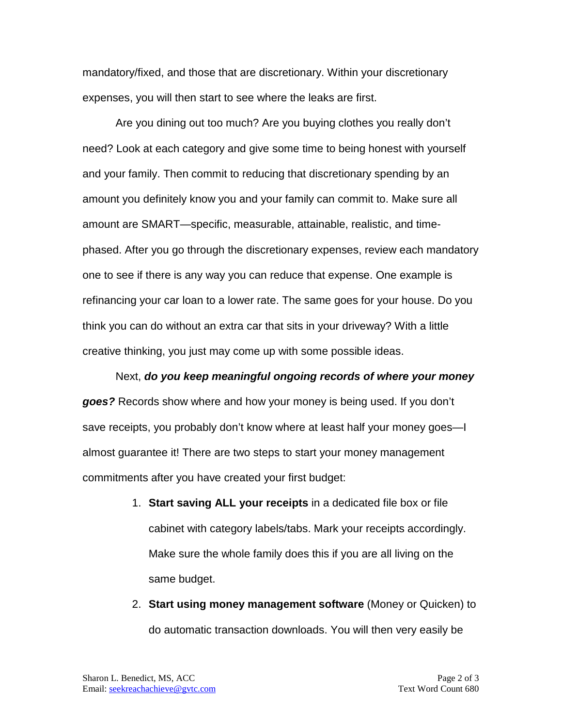mandatory/fixed, and those that are discretionary. Within your discretionary expenses, you will then start to see where the leaks are first.

Are you dining out too much? Are you buying clothes you really don't need? Look at each category and give some time to being honest with yourself and your family. Then commit to reducing that discretionary spending by an amount you definitely know you and your family can commit to. Make sure all amount are SMART—specific, measurable, attainable, realistic, and timephased. After you go through the discretionary expenses, review each mandatory one to see if there is any way you can reduce that expense. One example is refinancing your car loan to a lower rate. The same goes for your house. Do you think you can do without an extra car that sits in your driveway? With a little creative thinking, you just may come up with some possible ideas.

Next, *do you keep meaningful ongoing records of where your money goes?* Records show where and how your money is being used. If you don't save receipts, you probably don't know where at least half your money goes—I almost guarantee it! There are two steps to start your money management commitments after you have created your first budget:

- 1. **Start saving ALL your receipts** in a dedicated file box or file cabinet with category labels/tabs. Mark your receipts accordingly. Make sure the whole family does this if you are all living on the same budget.
- 2. **Start using money management software** (Money or Quicken) to do automatic transaction downloads. You will then very easily be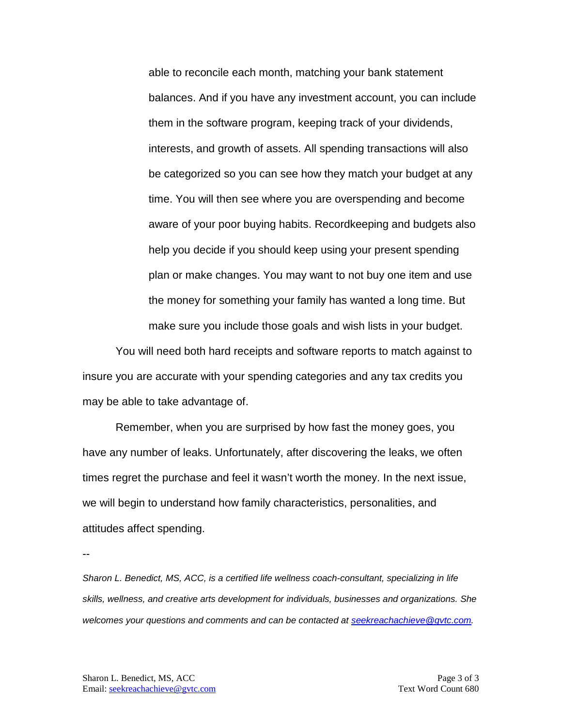able to reconcile each month, matching your bank statement balances. And if you have any investment account, you can include them in the software program, keeping track of your dividends, interests, and growth of assets. All spending transactions will also be categorized so you can see how they match your budget at any time. You will then see where you are overspending and become aware of your poor buying habits. Recordkeeping and budgets also help you decide if you should keep using your present spending plan or make changes. You may want to not buy one item and use the money for something your family has wanted a long time. But make sure you include those goals and wish lists in your budget.

You will need both hard receipts and software reports to match against to insure you are accurate with your spending categories and any tax credits you may be able to take advantage of.

Remember, when you are surprised by how fast the money goes, you have any number of leaks. Unfortunately, after discovering the leaks, we often times regret the purchase and feel it wasn't worth the money. In the next issue, we will begin to understand how family characteristics, personalities, and attitudes affect spending.

--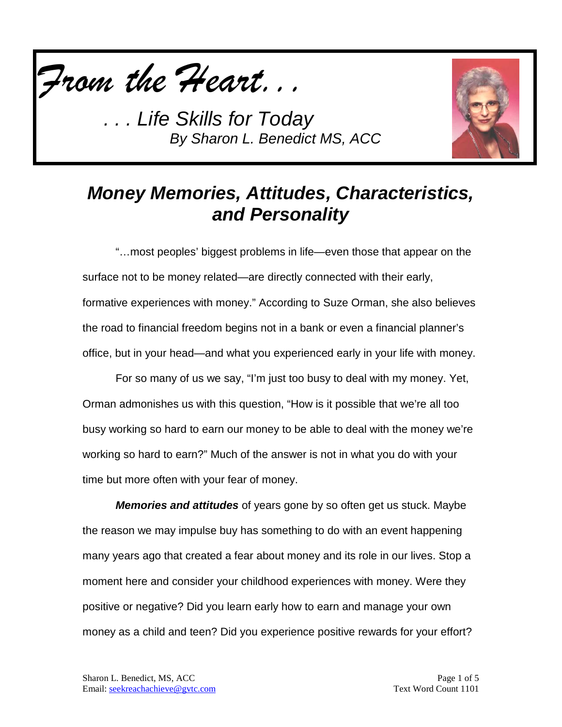

*. . . Life Skills for Today By Sharon L. Benedict MS, ACC*



## *Money Memories, Attitudes, Characteristics, and Personality*

"…most peoples' biggest problems in life—even those that appear on the surface not to be money related—are directly connected with their early, formative experiences with money." According to Suze Orman, she also believes the road to financial freedom begins not in a bank or even a financial planner's office, but in your head—and what you experienced early in your life with money.

For so many of us we say, "I'm just too busy to deal with my money. Yet, Orman admonishes us with this question, "How is it possible that we're all too busy working so hard to earn our money to be able to deal with the money we're working so hard to earn?" Much of the answer is not in what you do with your time but more often with your fear of money.

*Memories and attitudes* of years gone by so often get us stuck. Maybe the reason we may impulse buy has something to do with an event happening many years ago that created a fear about money and its role in our lives. Stop a moment here and consider your childhood experiences with money. Were they positive or negative? Did you learn early how to earn and manage your own money as a child and teen? Did you experience positive rewards for your effort?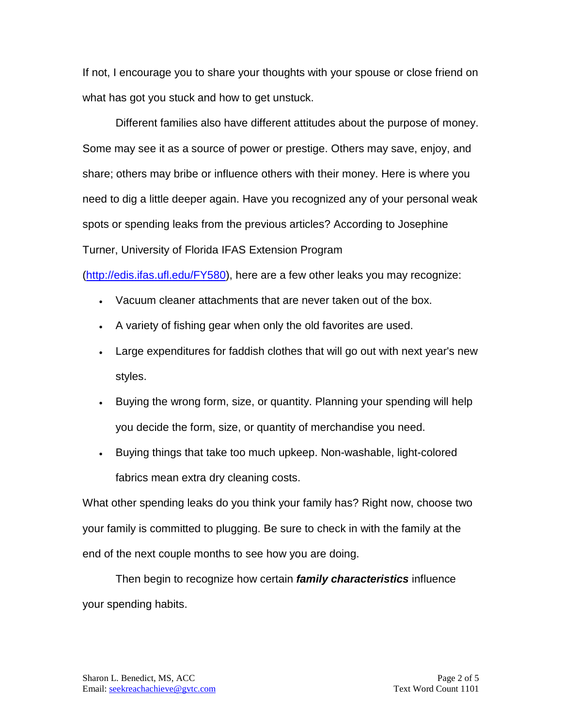If not, I encourage you to share your thoughts with your spouse or close friend on what has got you stuck and how to get unstuck.

Different families also have different attitudes about the purpose of money. Some may see it as a source of power or prestige. Others may save, enjoy, and share; others may bribe or influence others with their money. Here is where you need to dig a little deeper again. Have you recognized any of your personal weak spots or spending leaks from the previous articles? According to Josephine Turner, University of Florida IFAS Extension Program

[\(http://edis.ifas.ufl.edu/FY580\)](http://edis.ifas.ufl.edu/FY580), here are a few other leaks you may recognize:

- Vacuum cleaner attachments that are never taken out of the box.
- A variety of fishing gear when only the old favorites are used.
- Large expenditures for faddish clothes that will go out with next year's new styles.
- Buying the wrong form, size, or quantity. Planning your spending will help you decide the form, size, or quantity of merchandise you need.
- Buying things that take too much upkeep. Non-washable, light-colored fabrics mean extra dry cleaning costs.

What other spending leaks do you think your family has? Right now, choose two your family is committed to plugging. Be sure to check in with the family at the end of the next couple months to see how you are doing.

Then begin to recognize how certain *family characteristics* influence your spending habits.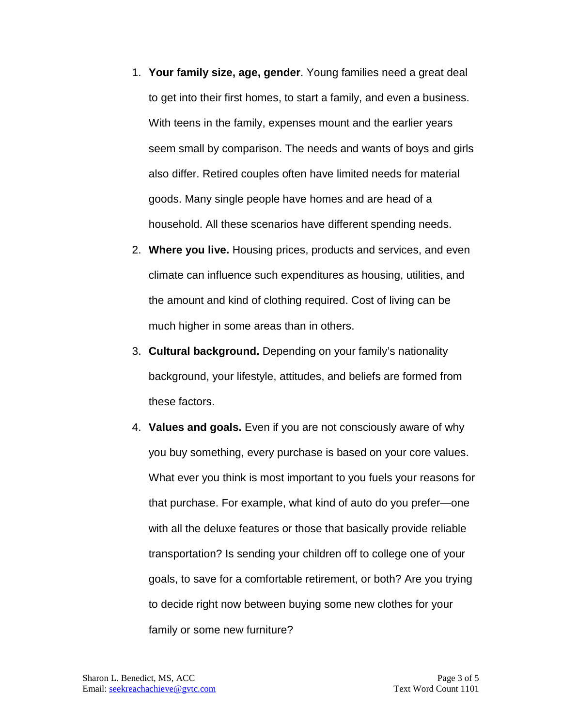- 1. **Your family size, age, gender**. Young families need a great deal to get into their first homes, to start a family, and even a business. With teens in the family, expenses mount and the earlier years seem small by comparison. The needs and wants of boys and girls also differ. Retired couples often have limited needs for material goods. Many single people have homes and are head of a household. All these scenarios have different spending needs.
- 2. **Where you live.** Housing prices, products and services, and even climate can influence such expenditures as housing, utilities, and the amount and kind of clothing required. Cost of living can be much higher in some areas than in others.
- 3. **Cultural background.** Depending on your family's nationality background, your lifestyle, attitudes, and beliefs are formed from these factors.
- 4. **Values and goals.** Even if you are not consciously aware of why you buy something, every purchase is based on your core values. What ever you think is most important to you fuels your reasons for that purchase. For example, what kind of auto do you prefer—one with all the deluxe features or those that basically provide reliable transportation? Is sending your children off to college one of your goals, to save for a comfortable retirement, or both? Are you trying to decide right now between buying some new clothes for your family or some new furniture?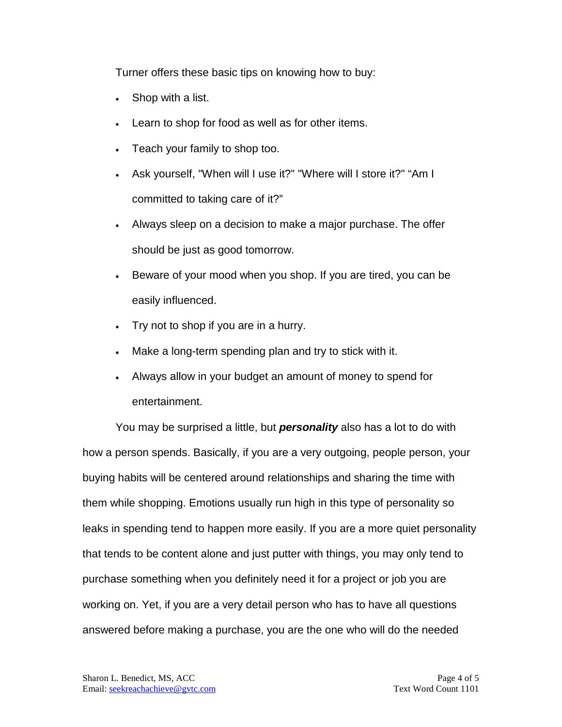Turner offers these basic tips on knowing how to buy:

- Shop with a list.
- Learn to shop for food as well as for other items.
- Teach your family to shop too.
- Ask yourself, "When will I use it?" "Where will I store it?" "Am I committed to taking care of it?"
- Always sleep on a decision to make a major purchase. The offer should be just as good tomorrow.
- Beware of your mood when you shop. If you are tired, you can be easily influenced.
- Try not to shop if you are in a hurry.
- Make a long-term spending plan and try to stick with it.
- Always allow in your budget an amount of money to spend for entertainment.

You may be surprised a little, but *personality* also has a lot to do with how a person spends. Basically, if you are a very outgoing, people person, your buying habits will be centered around relationships and sharing the time with them while shopping. Emotions usually run high in this type of personality so leaks in spending tend to happen more easily. If you are a more quiet personality that tends to be content alone and just putter with things, you may only tend to purchase something when you definitely need it for a project or job you are working on. Yet, if you are a very detail person who has to have all questions answered before making a purchase, you are the one who will do the needed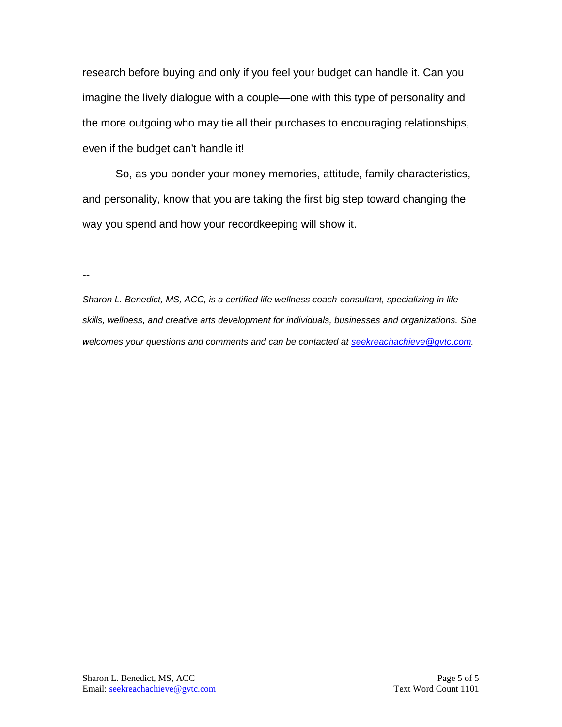research before buying and only if you feel your budget can handle it. Can you imagine the lively dialogue with a couple—one with this type of personality and the more outgoing who may tie all their purchases to encouraging relationships, even if the budget can't handle it!

So, as you ponder your money memories, attitude, family characteristics, and personality, know that you are taking the first big step toward changing the way you spend and how your recordkeeping will show it.

--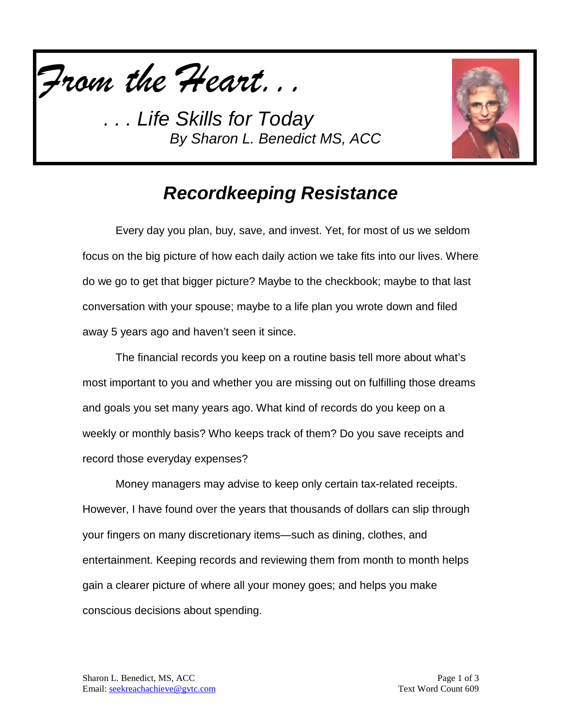

*. . . Life Skills for Today By Sharon L. Benedict MS, ACC*



## *Recordkeeping Resistance*

Every day you plan, buy, save, and invest. Yet, for most of us we seldom focus on the big picture of how each daily action we take fits into our lives. Where do we go to get that bigger picture? Maybe to the checkbook; maybe to that last conversation with your spouse; maybe to a life plan you wrote down and filed away 5 years ago and haven't seen it since.

The financial records you keep on a routine basis tell more about what's most important to you and whether you are missing out on fulfilling those dreams and goals you set many years ago. What kind of records do you keep on a weekly or monthly basis? Who keeps track of them? Do you save receipts and record those everyday expenses?

Money managers may advise to keep only certain tax-related receipts. However, I have found over the years that thousands of dollars can slip through your fingers on many discretionary items—such as dining, clothes, and entertainment. Keeping records and reviewing them from month to month helps gain a clearer picture of where all your money goes; and helps you make conscious decisions about spending.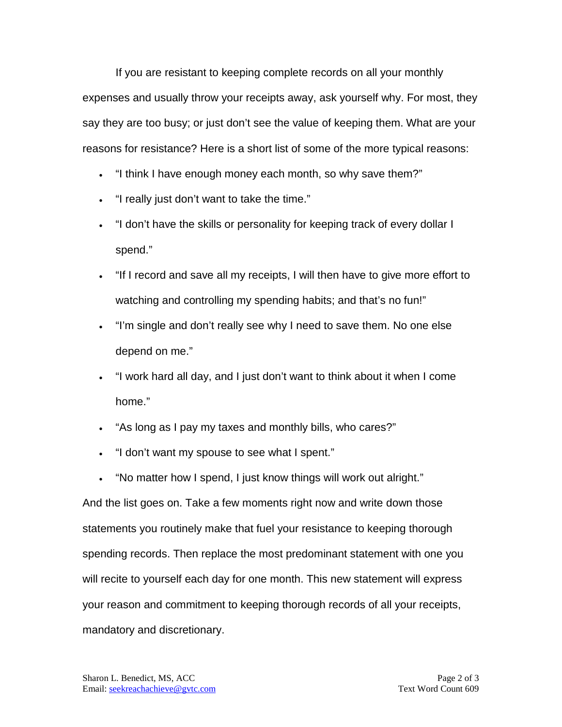If you are resistant to keeping complete records on all your monthly expenses and usually throw your receipts away, ask yourself why. For most, they say they are too busy; or just don't see the value of keeping them. What are your reasons for resistance? Here is a short list of some of the more typical reasons:

- "I think I have enough money each month, so why save them?"
- "I really just don't want to take the time."
- "I don't have the skills or personality for keeping track of every dollar I spend."
- "If I record and save all my receipts, I will then have to give more effort to watching and controlling my spending habits; and that's no fun!"
- "I'm single and don't really see why I need to save them. No one else depend on me."
- "I work hard all day, and I just don't want to think about it when I come home."
- "As long as I pay my taxes and monthly bills, who cares?"
- "I don't want my spouse to see what I spent."
- "No matter how I spend, I just know things will work out alright."

And the list goes on. Take a few moments right now and write down those statements you routinely make that fuel your resistance to keeping thorough spending records. Then replace the most predominant statement with one you will recite to yourself each day for one month. This new statement will express your reason and commitment to keeping thorough records of all your receipts, mandatory and discretionary.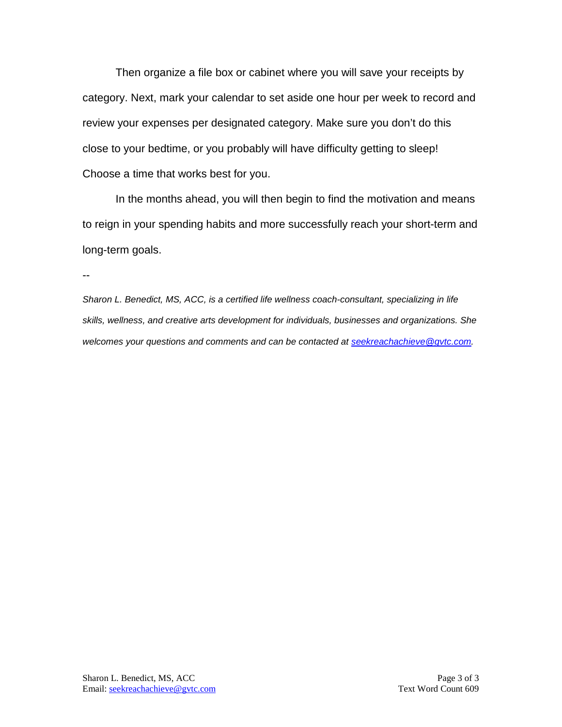Then organize a file box or cabinet where you will save your receipts by category. Next, mark your calendar to set aside one hour per week to record and review your expenses per designated category. Make sure you don't do this close to your bedtime, or you probably will have difficulty getting to sleep! Choose a time that works best for you.

In the months ahead, you will then begin to find the motivation and means to reign in your spending habits and more successfully reach your short-term and long-term goals.

--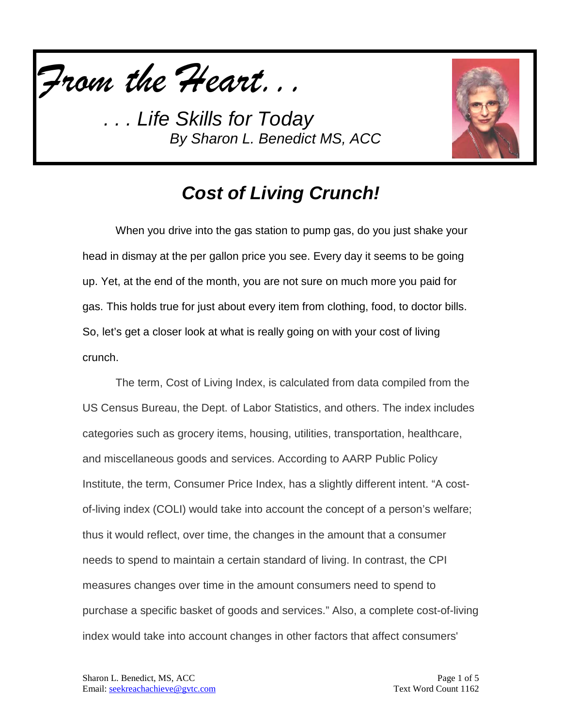

*. . . Life Skills for Today By Sharon L. Benedict MS, ACC*



## *Cost of Living Crunch!*

When you drive into the gas station to pump gas, do you just shake your head in dismay at the per gallon price you see. Every day it seems to be going up. Yet, at the end of the month, you are not sure on much more you paid for gas. This holds true for just about every item from clothing, food, to doctor bills. So, let's get a closer look at what is really going on with your cost of living crunch.

The term, Cost of Living Index, is calculated from data compiled from the US Census Bureau, the Dept. of Labor Statistics, and others. The index includes categories such as grocery items, housing, utilities, transportation, healthcare, and miscellaneous goods and services. According to AARP Public Policy Institute, the term, Consumer Price Index, has a slightly different intent. "A costof-living index (COLI) would take into account the concept of a person's welfare; thus it would reflect, over time, the changes in the amount that a consumer needs to spend to maintain a certain standard of living. In contrast, the CPI measures changes over time in the amount consumers need to spend to purchase a specific basket of goods and services." Also, a complete cost-of-living index would take into account changes in other factors that affect consumers'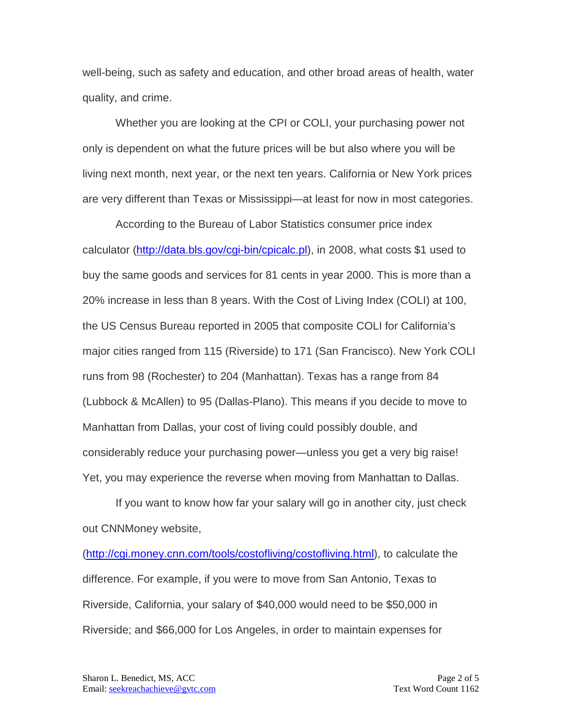well-being, such as safety and education, and other broad areas of health, water quality, and crime.

Whether you are looking at the CPI or COLI, your purchasing power not only is dependent on what the future prices will be but also where you will be living next month, next year, or the next ten years. California or New York prices are very different than Texas or Mississippi—at least for now in most categories.

According to the Bureau of Labor Statistics consumer price index calculator [\(http://data.bls.gov/cgi-bin/cpicalc.pl\)](http://data.bls.gov/cgi-bin/cpicalc.pl), in 2008, what costs \$1 used to buy the same goods and services for 81 cents in year 2000. This is more than a 20% increase in less than 8 years. With the Cost of Living Index (COLI) at 100, the US Census Bureau reported in 2005 that composite COLI for California's major cities ranged from 115 (Riverside) to 171 (San Francisco). New York COLI runs from 98 (Rochester) to 204 (Manhattan). Texas has a range from 84 (Lubbock & McAllen) to 95 (Dallas-Plano). This means if you decide to move to Manhattan from Dallas, your cost of living could possibly double, and considerably reduce your purchasing power—unless you get a very big raise! Yet, you may experience the reverse when moving from Manhattan to Dallas.

If you want to know how far your salary will go in another city, just check out CNNMoney website,

[\(http://cgi.money.cnn.com/tools/costofliving/costofliving.html\)](http://cgi.money.cnn.com/tools/costofliving/costofliving.html), to calculate the difference. For example, if you were to move from San Antonio, Texas to Riverside, California, your salary of \$40,000 would need to be \$50,000 in Riverside; and \$66,000 for Los Angeles, in order to maintain expenses for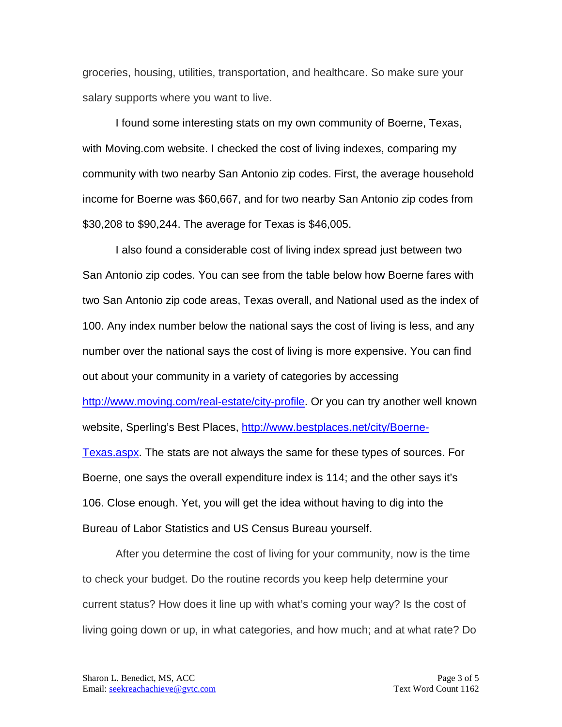groceries, housing, utilities, transportation, and healthcare. So make sure your salary supports where you want to live.

I found some interesting stats on my own community of Boerne, Texas, with Moving.com website. I checked the cost of living indexes, comparing my community with two nearby San Antonio zip codes. First, the average household income for Boerne was \$60,667, and for two nearby San Antonio zip codes from \$30,208 to \$90,244. The average for Texas is \$46,005.

I also found a considerable cost of living index spread just between two San Antonio zip codes. You can see from the table below how Boerne fares with two San Antonio zip code areas, Texas overall, and National used as the index of 100. Any index number below the national says the cost of living is less, and any number over the national says the cost of living is more expensive. You can find out about your community in a variety of categories by accessing [http://www.moving.com/real-estate/city-profile.](http://www.moving.com/real-estate/city-profile) Or you can try another well known website, Sperling's Best Places, [http://www.bestplaces.net/city/Boerne-](http://www.bestplaces.net/city/Boerne-Texas.aspx)[Texas.aspx.](http://www.bestplaces.net/city/Boerne-Texas.aspx) The stats are not always the same for these types of sources. For Boerne, one says the overall expenditure index is 114; and the other says it's 106. Close enough. Yet, you will get the idea without having to dig into the Bureau of Labor Statistics and US Census Bureau yourself.

After you determine the cost of living for your community, now is the time to check your budget. Do the routine records you keep help determine your current status? How does it line up with what's coming your way? Is the cost of living going down or up, in what categories, and how much; and at what rate? Do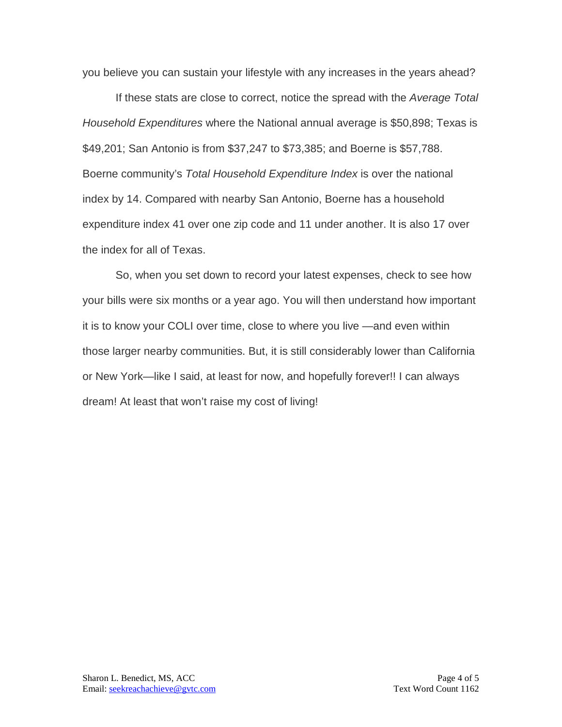you believe you can sustain your lifestyle with any increases in the years ahead?

If these stats are close to correct, notice the spread with the *Average Total Household Expenditures* where the National annual average is \$50,898; Texas is \$49,201; San Antonio is from \$37,247 to \$73,385; and Boerne is \$57,788. Boerne community's *Total Household Expenditure Index* is over the national index by 14. Compared with nearby San Antonio, Boerne has a household expenditure index 41 over one zip code and 11 under another. It is also 17 over the index for all of Texas.

So, when you set down to record your latest expenses, check to see how your bills were six months or a year ago. You will then understand how important it is to know your COLI over time, close to where you live —and even within those larger nearby communities. But, it is still considerably lower than California or New York—like I said, at least for now, and hopefully forever!! I can always dream! At least that won't raise my cost of living!